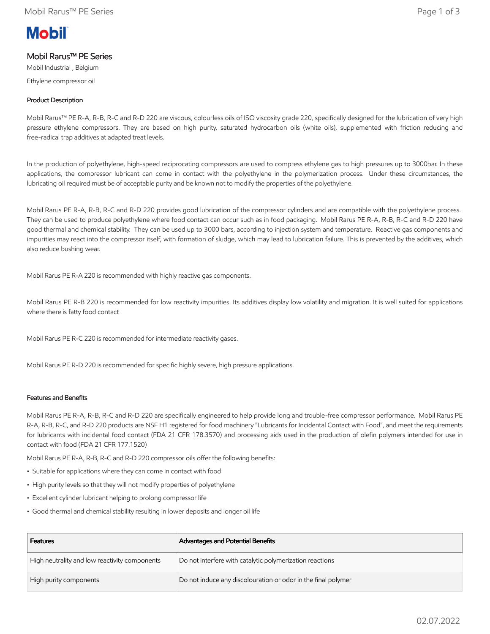# **Mobil**

# Mobil Rarus™ PE Series

Mobil Industrial , Belgium Ethylene compressor oil

# Product Description

Mobil Rarus™ PE R-A, R-B, R-C and R-D 220 are viscous, colourless oils of ISO viscosity grade 220, specifically designed for the lubrication of very high pressure ethylene compressors. They are based on high purity, saturated hydrocarbon oils (white oils), supplemented with friction reducing and free-radical trap additives at adapted treat levels.

In the production of polyethylene, high-speed reciprocating compressors are used to compress ethylene gas to high pressures up to 3000bar. In these applications, the compressor lubricant can come in contact with the polyethylene in the polymerization process. Under these circumstances, the lubricating oil required must be of acceptable purity and be known not to modify the properties of the polyethylene.

Mobil Rarus PE R-A, R-B, R-C and R-D 220 provides good lubrication of the compressor cylinders and are compatible with the polyethylene process. They can be used to produce polyethylene where food contact can occur such as in food packaging. Mobil Rarus PE R-A, R-B, R-C and R-D 220 have good thermal and chemical stability. They can be used up to 3000 bars, according to injection system and temperature. Reactive gas components and impurities may react into the compressor itself, with formation of sludge, which may lead to lubrication failure. This is prevented by the additives, which also reduce bushing wear.

Mobil Rarus PE R-A 220 is recommended with highly reactive gas components.

Mobil Rarus PE R-B 220 is recommended for low reactivity impurities. Its additives display low volatility and migration. It is well suited for applications where there is fatty food contact

Mobil Rarus PE R-C 220 is recommended for intermediate reactivity gases.

Mobil Rarus PE R-D 220 is recommended for specific highly severe, high pressure applications.

## Features and Benefits

Mobil Rarus PE R-A, R-B, R-C and R-D 220 are specifically engineered to help provide long and trouble-free compressor performance. Mobil Rarus PE R-A, R-B, R-C, and R-D 220 products are NSF H1 registered for food machinery "Lubricants for Incidental Contact with Food", and meet the requirements for lubricants with incidental food contact (FDA 21 CFR 178.3570) and processing aids used in the production of olefin polymers intended for use in contact with food (FDA 21 CFR 177.1520)

Mobil Rarus PE R-A, R-B, R-C and R-D 220 compressor oils offer the following benefits:

- Suitable for applications where they can come in contact with food
- High purity levels so that they will not modify properties of polyethylene
- Excellent cylinder lubricant helping to prolong compressor life
- Good thermal and chemical stability resulting in lower deposits and longer oil life

| <b>Features</b>                               | Advantages and Potential Benefits                             |
|-----------------------------------------------|---------------------------------------------------------------|
| High neutrality and low reactivity components | Do not interfere with catalytic polymerization reactions      |
| High purity components                        | Do not induce any discolouration or odor in the final polymer |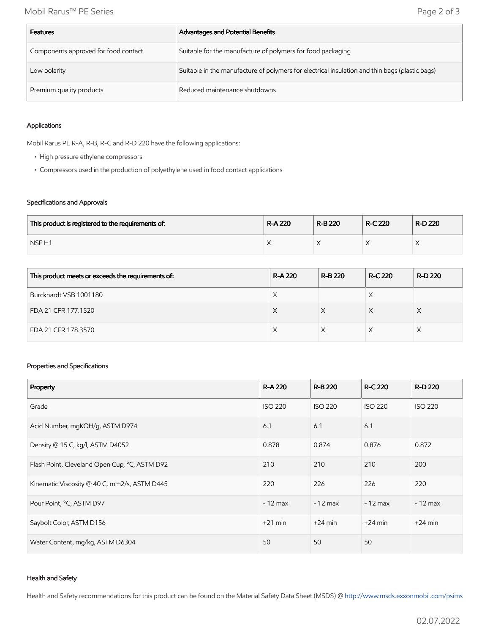| <b>Features</b>                      | Advantages and Potential Benefits                                                              |
|--------------------------------------|------------------------------------------------------------------------------------------------|
| Components approved for food contact | Suitable for the manufacture of polymers for food packaging                                    |
| Low polarity                         | Suitable in the manufacture of polymers for electrical insulation and thin bags (plastic bags) |
| Premium quality products             | Reduced maintenance shutdowns                                                                  |

#### Applications

Mobil Rarus PE R-A, R-B, R-C and R-D 220 have the following applications:

- High pressure ethylene compressors
- Compressors used in the production of polyethylene used in food contact applications

#### Specifications and Approvals

| This product is registered to the requirements of: | <b>R-A220</b> | R-B 220 | <b>R-C 220</b> | R-D 220 |
|----------------------------------------------------|---------------|---------|----------------|---------|
| NSF <sub>H1</sub>                                  |               |         |                |         |

| This product meets or exceeds the requirements of: | <b>R-A220</b> | <b>R-B220</b> | <b>R-C 220</b> | R-D 220 |
|----------------------------------------------------|---------------|---------------|----------------|---------|
| Burckhardt VSB 1001180                             |               |               |                |         |
| FDA 21 CFR 177.1520                                | X             |               |                |         |
| FDA 21 CFR 178.3570                                |               |               |                |         |

#### Properties and Specifications

| Property                                      | <b>R-A220</b>  | <b>R-B220</b>  | <b>R-C 220</b> | <b>R-D 220</b> |
|-----------------------------------------------|----------------|----------------|----------------|----------------|
| Grade                                         | <b>ISO 220</b> | <b>ISO 220</b> | <b>ISO 220</b> | <b>ISO 220</b> |
| Acid Number, mgKOH/g, ASTM D974               | 6.1            | 6.1            | 6.1            |                |
| Density @ 15 C, kg/l, ASTM D4052              | 0.878          | 0.874          | 0.876          | 0.872          |
| Flash Point, Cleveland Open Cup, °C, ASTM D92 | 210            | 210            | 210            | 200            |
| Kinematic Viscosity @ 40 C, mm2/s, ASTM D445  | 220            | 226            | 226            | 220            |
| Pour Point, °C, ASTM D97                      | $-12$ max      | $-12$ max      | $-12$ max      | $-12$ max      |
| Saybolt Color, ASTM D156                      | $+21$ min      | $+24$ min      | $+24$ min      | $+24$ min      |
| Water Content, mg/kg, ASTM D6304              | 50             | 50             | 50             |                |

#### Health and Safety

Health and Safety recommendations for this product can be found on the Material Safety Data Sheet (MSDS) @ [http://www.msds.exxonmobil.com/psims](http://www.msds.exxonmobil.com/psims/psims.aspx)